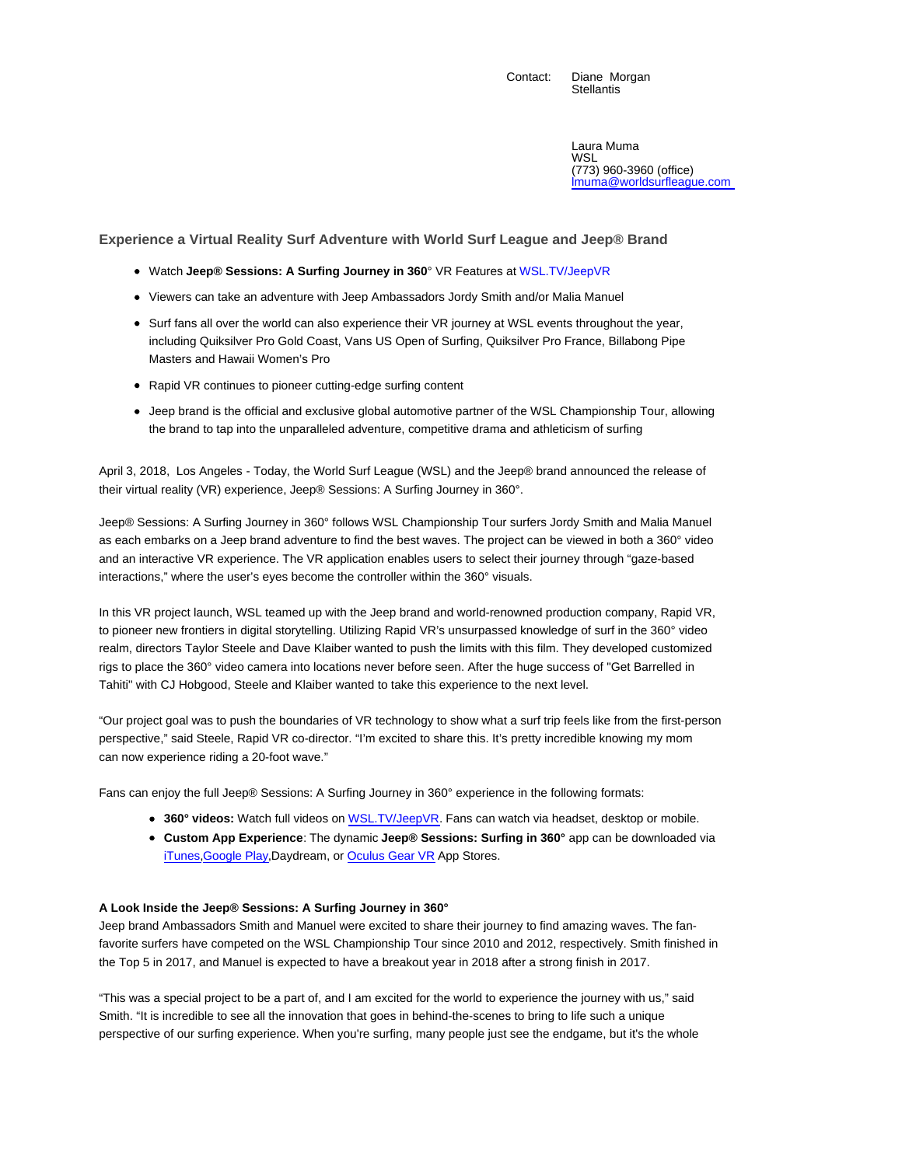Contact: Diane Morgan **Stellantis** 

> Laura Muma WSL (773) 960-3960 (office) lmuma@worldsurfleague.com

**Experience a Virtual Reality Surf Adventure with World Surf League and Jeep® Brand**

- Watch **Jeep® Sessions: A Surfing Journey in 360**° VR Features at WSL.TV/JeepVR
- Viewers can take an adventure with Jeep Ambassadors Jordy Smith and/or Malia Manuel
- Surf fans all over the world can also experience their VR journey at WSL events throughout the year, including Quiksilver Pro Gold Coast, Vans US Open of Surfing, Quiksilver Pro France, Billabong Pipe Masters and Hawaii Women's Pro
- Rapid VR continues to pioneer cutting-edge surfing content
- Jeep brand is the official and exclusive global automotive partner of the WSL Championship Tour, allowing the brand to tap into the unparalleled adventure, competitive drama and athleticism of surfing

April 3, 2018, Los Angeles - Today, the World Surf League (WSL) and the Jeep® brand announced the release of their virtual reality (VR) experience, Jeep® Sessions: A Surfing Journey in 360°.

Jeep® Sessions: A Surfing Journey in 360° follows WSL Championship Tour surfers Jordy Smith and Malia Manuel as each embarks on a Jeep brand adventure to find the best waves. The project can be viewed in both a 360° video and an interactive VR experience. The VR application enables users to select their journey through "gaze-based interactions," where the user's eyes become the controller within the 360° visuals.

In this VR project launch, WSL teamed up with the Jeep brand and world-renowned production company, Rapid VR, to pioneer new frontiers in digital storytelling. Utilizing Rapid VR's unsurpassed knowledge of surf in the 360° video realm, directors Taylor Steele and Dave Klaiber wanted to push the limits with this film. They developed customized rigs to place the 360° video camera into locations never before seen. After the huge success of "Get Barrelled in Tahiti" with CJ Hobgood, Steele and Klaiber wanted to take this experience to the next level.

"Our project goal was to push the boundaries of VR technology to show what a surf trip feels like from the first-person perspective," said Steele, Rapid VR co-director. "I'm excited to share this. It's pretty incredible knowing my mom can now experience riding a 20-foot wave."

Fans can enjoy the full Jeep® Sessions: A Surfing Journey in 360° experience in the following formats:

- **360° videos:** Watch full videos on WSL.TV/JeepVR. Fans can watch via headset, desktop or mobile.
- **Custom App Experience**: The dynamic **Jeep® Sessions: Surfing in 360°** app can be downloaded via iTunes, Google Play, Daydream, or Oculus Gear VR App Stores.

## **A Look Inside the Jeep® Sessions: A Surfing Journey in 360°**

Jeep brand Ambassadors Smith and Manuel were excited to share their journey to find amazing waves. The fanfavorite surfers have competed on the WSL Championship Tour since 2010 and 2012, respectively. Smith finished in the Top 5 in 2017, and Manuel is expected to have a breakout year in 2018 after a strong finish in 2017.

"This was a special project to be a part of, and I am excited for the world to experience the journey with us," said Smith. "It is incredible to see all the innovation that goes in behind-the-scenes to bring to life such a unique perspective of our surfing experience. When you're surfing, many people just see the endgame, but it's the whole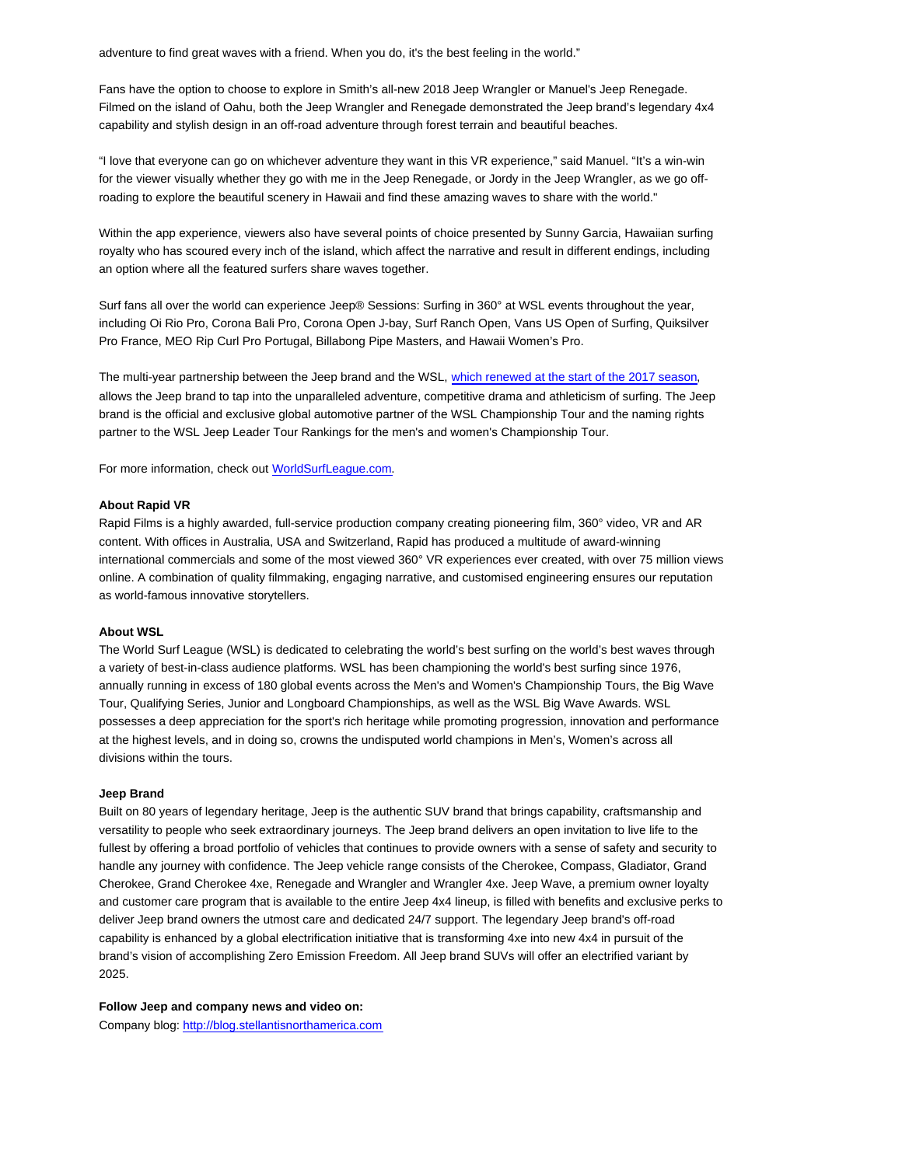adventure to find great waves with a friend. When you do, it's the best feeling in the world."

Fans have the option to choose to explore in Smith's all-new 2018 Jeep Wrangler or Manuel's Jeep Renegade. Filmed on the island of Oahu, both the Jeep Wrangler and Renegade demonstrated the Jeep brand's legendary 4x4 capability and stylish design in an off-road adventure through forest terrain and beautiful beaches.

"I love that everyone can go on whichever adventure they want in this VR experience," said Manuel. "It's a win-win for the viewer visually whether they go with me in the Jeep Renegade, or Jordy in the Jeep Wrangler, as we go offroading to explore the beautiful scenery in Hawaii and find these amazing waves to share with the world."

Within the app experience, viewers also have several points of choice presented by Sunny Garcia, Hawaiian surfing royalty who has scoured every inch of the island, which affect the narrative and result in different endings, including an option where all the featured surfers share waves together.

Surf fans all over the world can experience Jeep® Sessions: Surfing in 360° at WSL events throughout the year, including Oi Rio Pro, Corona Bali Pro, Corona Open J-bay, Surf Ranch Open, Vans US Open of Surfing, Quiksilver Pro France, MEO Rip Curl Pro Portugal, Billabong Pipe Masters, and Hawaii Women's Pro.

The multi-year partnership between the Jeep brand and the WSL, which renewed at the start of the 2017 season, allows the Jeep brand to tap into the unparalleled adventure, competitive drama and athleticism of surfing. The Jeep brand is the official and exclusive global automotive partner of the WSL Championship Tour and the naming rights partner to the WSL Jeep Leader Tour Rankings for the men's and women's Championship Tour.

For more information, check out WorldSurfLeague.com.

## **About Rapid VR**

Rapid Films is a highly awarded, full-service production company creating pioneering film, 360° video, VR and AR content. With offices in Australia, USA and Switzerland, Rapid has produced a multitude of award-winning international commercials and some of the most viewed 360° VR experiences ever created, with over 75 million views online. A combination of quality filmmaking, engaging narrative, and customised engineering ensures our reputation as world-famous innovative storytellers.

## **About WSL**

The World Surf League (WSL) is dedicated to celebrating the world's best surfing on the world's best waves through a variety of best-in-class audience platforms. WSL has been championing the world's best surfing since 1976, annually running in excess of 180 global events across the Men's and Women's Championship Tours, the Big Wave Tour, Qualifying Series, Junior and Longboard Championships, as well as the WSL Big Wave Awards. WSL possesses a deep appreciation for the sport's rich heritage while promoting progression, innovation and performance at the highest levels, and in doing so, crowns the undisputed world champions in Men's, Women's across all divisions within the tours.

## **Jeep Brand**

Built on 80 years of legendary heritage, Jeep is the authentic SUV brand that brings capability, craftsmanship and versatility to people who seek extraordinary journeys. The Jeep brand delivers an open invitation to live life to the fullest by offering a broad portfolio of vehicles that continues to provide owners with a sense of safety and security to handle any journey with confidence. The Jeep vehicle range consists of the Cherokee, Compass, Gladiator, Grand Cherokee, Grand Cherokee 4xe, Renegade and Wrangler and Wrangler 4xe. Jeep Wave, a premium owner loyalty and customer care program that is available to the entire Jeep 4x4 lineup, is filled with benefits and exclusive perks to deliver Jeep brand owners the utmost care and dedicated 24/7 support. The legendary Jeep brand's off-road capability is enhanced by a global electrification initiative that is transforming 4xe into new 4x4 in pursuit of the brand's vision of accomplishing Zero Emission Freedom. All Jeep brand SUVs will offer an electrified variant by 2025.

**Follow Jeep and company news and video on:** Company blog: http://blog.stellantisnorthamerica.com